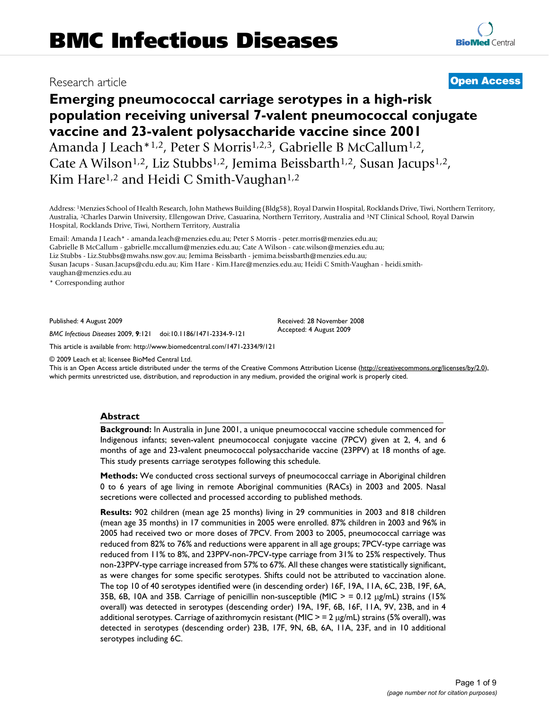# Research article **[Open Access](http://www.biomedcentral.com/info/about/charter/)**

# **Emerging pneumococcal carriage serotypes in a high-risk population receiving universal 7-valent pneumococcal conjugate vaccine and 23-valent polysaccharide vaccine since 2001**

Amanda J Leach\*1,2, Peter S Morris<sup>1,2,3</sup>, Gabrielle B McCallum<sup>1,2</sup>, Cate A Wilson<sup>1,2</sup>, Liz Stubbs<sup>1,2</sup>, Jemima Beissbarth<sup>1,2</sup>, Susan Jacups<sup>1,2</sup>, Kim Hare<sup>1,2</sup> and Heidi C Smith-Vaughan<sup>1,2</sup>

Address: 1Menzies School of Health Research, John Mathews Building (Bldg58), Royal Darwin Hospital, Rocklands Drive, Tiwi, Northern Territory, Australia, 2Charles Darwin University, Ellengowan Drive, Casuarina, Northern Territory, Australia and 3NT Clinical School, Royal Darwin Hospital, Rocklands Drive, Tiwi, Northern Territory, Australia

Email: Amanda J Leach\* - amanda.leach@menzies.edu.au; Peter S Morris - peter.morris@menzies.edu.au; Gabrielle B McCallum - gabrielle.mccallum@menzies.edu.au; Cate A Wilson - cate.wilson@menzies.edu.au; Liz Stubbs - Liz.Stubbs@mwahs.nsw.gov.au; Jemima Beissbarth - jemima.beissbarth@menzies.edu.au; Susan Jacups - Susan.Jacups@cdu.edu.au; Kim Hare - Kim.Hare@menzies.edu.au; Heidi C Smith-Vaughan - heidi.smithvaughan@menzies.edu.au

\* Corresponding author

Published: 4 August 2009

*BMC Infectious Diseases* 2009, **9**:121 doi:10.1186/1471-2334-9-121

[This article is available from: http://www.biomedcentral.com/1471-2334/9/121](http://www.biomedcentral.com/1471-2334/9/121)

© 2009 Leach et al; licensee BioMed Central Ltd.

This is an Open Access article distributed under the terms of the Creative Commons Attribution License [\(http://creativecommons.org/licenses/by/2.0\)](http://creativecommons.org/licenses/by/2.0), which permits unrestricted use, distribution, and reproduction in any medium, provided the original work is properly cited.

Received: 28 November 2008 Accepted: 4 August 2009

#### **Abstract**

**Background:** In Australia in June 2001, a unique pneumococcal vaccine schedule commenced for Indigenous infants; seven-valent pneumococcal conjugate vaccine (7PCV) given at 2, 4, and 6 months of age and 23-valent pneumococcal polysaccharide vaccine (23PPV) at 18 months of age. This study presents carriage serotypes following this schedule.

**Methods:** We conducted cross sectional surveys of pneumococcal carriage in Aboriginal children 0 to 6 years of age living in remote Aboriginal communities (RACs) in 2003 and 2005. Nasal secretions were collected and processed according to published methods.

**Results:** 902 children (mean age 25 months) living in 29 communities in 2003 and 818 children (mean age 35 months) in 17 communities in 2005 were enrolled. 87% children in 2003 and 96% in 2005 had received two or more doses of 7PCV. From 2003 to 2005, pneumococcal carriage was reduced from 82% to 76% and reductions were apparent in all age groups; 7PCV-type carriage was reduced from 11% to 8%, and 23PPV-non-7PCV-type carriage from 31% to 25% respectively. Thus non-23PPV-type carriage increased from 57% to 67%. All these changes were statistically significant, as were changes for some specific serotypes. Shifts could not be attributed to vaccination alone. The top 10 of 40 serotypes identified were (in descending order) 16F, 19A, 11A, 6C, 23B, 19F, 6A, 35B, 6B, 10A and 35B. Carriage of penicillin non-susceptible (MIC > = 0.12 μg/mL) strains (15% overall) was detected in serotypes (descending order) 19A, 19F, 6B, 16F, 11A, 9V, 23B, and in 4 additional serotypes. Carriage of azithromycin resistant (MIC  $>$  = 2  $\mu$ g/mL) strains (5% overall), was detected in serotypes (descending order) 23B, 17F, 9N, 6B, 6A, 11A, 23F, and in 10 additional serotypes including 6C.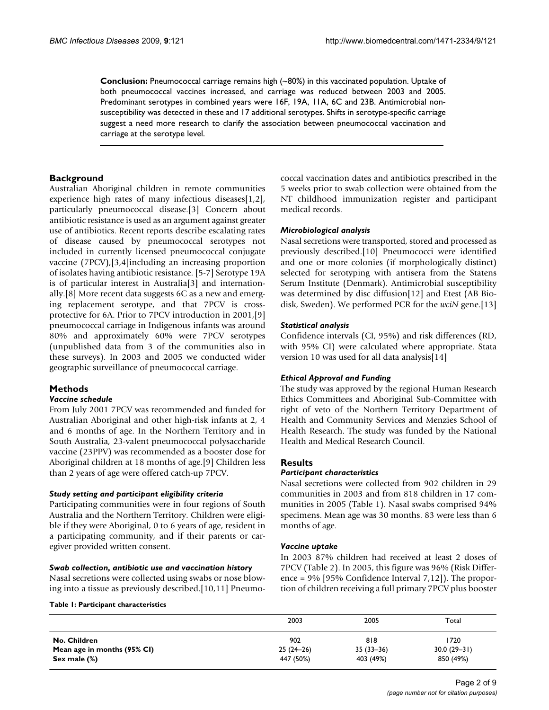**Conclusion:** Pneumococcal carriage remains high (~80%) in this vaccinated population. Uptake of both pneumococcal vaccines increased, and carriage was reduced between 2003 and 2005. Predominant serotypes in combined years were 16F, 19A, 11A, 6C and 23B. Antimicrobial nonsusceptibility was detected in these and 17 additional serotypes. Shifts in serotype-specific carriage suggest a need more research to clarify the association between pneumococcal vaccination and carriage at the serotype level.

## **Background**

Australian Aboriginal children in remote communities experience high rates of many infectious diseases[1,2], particularly pneumococcal disease.[3] Concern about antibiotic resistance is used as an argument against greater use of antibiotics. Recent reports describe escalating rates of disease caused by pneumococcal serotypes not included in currently licensed pneumococcal conjugate vaccine (7PCV),[3,4]including an increasing proportion of isolates having antibiotic resistance. [5-7] Serotype 19A is of particular interest in Australia[3] and internationally.[8] More recent data suggests 6C as a new and emerging replacement serotype, and that 7PCV is crossprotective for 6A. Prior to 7PCV introduction in 2001,[9] pneumococcal carriage in Indigenous infants was around 80% and approximately 60% were 7PCV serotypes (unpublished data from 3 of the communities also in these surveys). In 2003 and 2005 we conducted wider geographic surveillance of pneumococcal carriage.

# **Methods**

#### *Vaccine schedule*

From July 2001 7PCV was recommended and funded for Australian Aboriginal and other high-risk infants at 2, 4 and 6 months of age. In the Northern Territory and in South Australia, 23-valent pneumococcal polysaccharide vaccine (23PPV) was recommended as a booster dose for Aboriginal children at 18 months of age.[9] Children less than 2 years of age were offered catch-up 7PCV.

#### *Study setting and participant eligibility criteria*

Participating communities were in four regions of South Australia and the Northern Territory. Children were eligible if they were Aboriginal, 0 to 6 years of age, resident in a participating community, and if their parents or caregiver provided written consent.

#### *Swab collection, antibiotic use and vaccination history*

Nasal secretions were collected using swabs or nose blowing into a tissue as previously described.[10,11] Pneumococcal vaccination dates and antibiotics prescribed in the 5 weeks prior to swab collection were obtained from the NT childhood immunization register and participant medical records.

#### *Microbiological analysis*

Nasal secretions were transported, stored and processed as previously described.[10] Pneumococci were identified and one or more colonies (if morphologically distinct) selected for serotyping with antisera from the Statens Serum Institute (Denmark). Antimicrobial susceptibility was determined by disc diffusion[12] and Etest (AB Biodisk, Sweden). We performed PCR for the *wciN* gene.[13]

#### *Statistical analysis*

Confidence intervals (CI, 95%) and risk differences (RD, with 95% CI) were calculated where appropriate. Stata version 10 was used for all data analysis[14]

#### *Ethical Approval and Funding*

The study was approved by the regional Human Research Ethics Committees and Aboriginal Sub-Committee with right of veto of the Northern Territory Department of Health and Community Services and Menzies School of Health Research. The study was funded by the National Health and Medical Research Council.

#### **Results**

#### *Participant characteristics*

Nasal secretions were collected from 902 children in 29 communities in 2003 and from 818 children in 17 communities in 2005 (Table 1). Nasal swabs comprised 94% specimens. Mean age was 30 months. 83 were less than 6 months of age.

#### *Vaccine uptake*

In 2003 87% children had received at least 2 doses of 7PCV (Table 2). In 2005, this figure was 96% (Risk Difference = 9% [95% Confidence Interval 7,12]). The proportion of children receiving a full primary 7PCV plus booster

#### **Table 1: Participant characteristics**

|                             | 2003        | 2005        | Total         |  |
|-----------------------------|-------------|-------------|---------------|--|
| No. Children                | 902         | 818         | 1720          |  |
| Mean age in months (95% CI) | $25(24-26)$ | $35(33-36)$ | $30.0(29-31)$ |  |
| Sex male (%)                | 447 (50%)   | 403 (49%)   | 850 (49%)     |  |
|                             |             |             |               |  |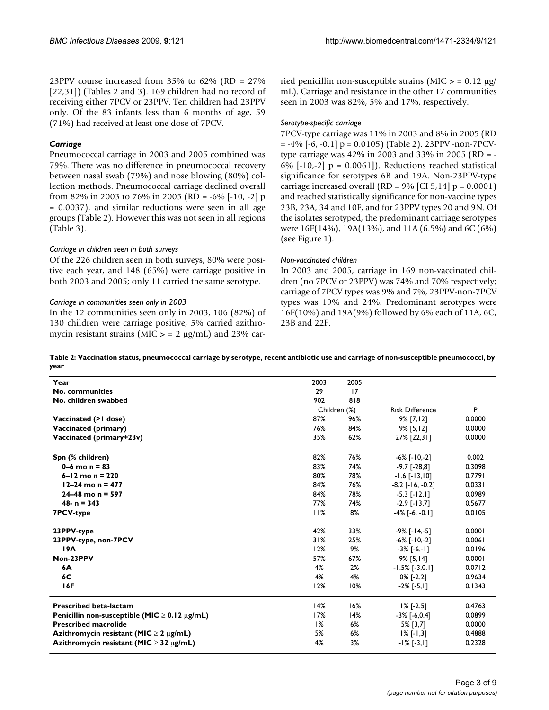23PPV course increased from 35% to 62% (RD = 27% [22,31]) (Tables 2 and 3). 169 children had no record of receiving either 7PCV or 23PPV. Ten children had 23PPV only. Of the 83 infants less than 6 months of age, 59 (71%) had received at least one dose of 7PCV.

# *Carriage*

Pneumococcal carriage in 2003 and 2005 combined was 79%. There was no difference in pneumococcal recovery between nasal swab (79%) and nose blowing (80%) collection methods. Pneumococcal carriage declined overall from 82% in 2003 to 76% in 2005 (RD = -6% [-10, -2] p = 0.0037), and similar reductions were seen in all age groups (Table 2). However this was not seen in all regions (Table 3).

## *Carriage in children seen in both surveys*

Of the 226 children seen in both surveys, 80% were positive each year, and 148 (65%) were carriage positive in both 2003 and 2005; only 11 carried the same serotype.

## *Carriage in communities seen only in 2003*

In the 12 communities seen only in 2003, 106 (82%) of 130 children were carriage positive, 5% carried azithromycin resistant strains (MIC  $>$  = 2 µg/mL) and 23% carried penicillin non-susceptible strains  $(MIC > = 0.12 \mu g)$ mL). Carriage and resistance in the other 17 communities seen in 2003 was 82%, 5% and 17%, respectively.

#### *Serotype-specific carriage*

7PCV-type carriage was 11% in 2003 and 8% in 2005 (RD  $= -4\%$  [ $-6$ ,  $-0.1$ ]  $p = 0.0105$ ) (Table 2). 23PPV -non-7PCVtype carriage was 42% in 2003 and 33% in 2005 (RD = - 6%  $[-10,-2]$  p = 0.0061]). Reductions reached statistical significance for serotypes 6B and 19A. Non-23PPV-type carriage increased overall (RD =  $9\%$  [CI 5,14] p = 0.0001) and reached statistically significance for non-vaccine types 23B, 23A, 34 and 10F, and for 23PPV types 20 and 9N. Of the isolates serotyped, the predominant carriage serotypes were 16F(14%), 19A(13%), and 11A (6.5%) and 6C (6%) (see Figure 1).

## *Non-vaccinated children*

In 2003 and 2005, carriage in 169 non-vaccinated children (no 7PCV or 23PPV) was 74% and 70% respectively; carriage of 7PCV types was 9% and 7%, 23PPV-non-7PCV types was 19% and 24%. Predominant serotypes were 16F(10%) and 19A(9%) followed by 6% each of 11A, 6C, 23B and 22F.

**Table 2: Vaccination status, pneumococcal carriage by serotype, recent antibiotic use and carriage of non-susceptible pneumococci, by year**

| Year                                                    | 2003         | 2005 |                        |        |
|---------------------------------------------------------|--------------|------|------------------------|--------|
| No. communities                                         | 29           | 17   |                        |        |
| No. children swabbed                                    | 902          | 818  |                        |        |
|                                                         | Children (%) |      | <b>Risk Difference</b> | P      |
| Vaccinated (>1 dose)                                    | 87%          | 96%  | $9\%$ [7,12]           | 0.0000 |
| Vaccinated (primary)                                    | 76%          | 84%  | $9\%$ [5,12]           | 0.0000 |
| Vaccinated (primary+23v)                                | 35%          | 62%  | 27% [22,31]            | 0.0000 |
| Spn (% children)                                        | 82%          | 76%  | $-6\%$ [ $-10,-2$ ]    | 0.002  |
| $0-6$ mo $n = 83$                                       | 83%          | 74%  | $-9.7$ [ $-28,8$ ]     | 0.3098 |
| $6 - 12$ mo n = 220                                     | 80%          | 78%  | $-1.6$ [ $-13,10$ ]    | 0.7791 |
| $12 - 24$ mo n = 477                                    | 84%          | 76%  | $-8.2$ [ $-16, -0.2$ ] | 0.0331 |
| $24 - 48$ mo n = 597                                    | 84%          | 78%  | $-5.3$ [ $-12,1$ ]     | 0.0989 |
| $48 - n = 343$                                          | 77%          | 74%  | $-2.9$ [ $-13,7$ ]     | 0.5677 |
| <b>7PCV-type</b>                                        | 11%          | 8%   | $-4\%$ [ $-6, -0.1$ ]  | 0.0105 |
| 23PPV-type                                              | 42%          | 33%  | $-9\%$ [ $-14,-5$ ]    | 0.0001 |
| 23PPV-type, non-7PCV                                    | 31%          | 25%  | $-6\%$ [ $-10,-2$ ]    | 0.0061 |
| 19A                                                     | 12%          | 9%   | $-3\%$ [-6,-1]         | 0.0196 |
| Non-23PPV                                               | 57%          | 67%  | 9% [5,14]              | 0.0001 |
| 6A                                                      | 4%           | 2%   | $-1.5\%$ [ $-3,0.1$ ]  | 0.0712 |
| 6C                                                      | 4%           | 4%   | $0\%$ [-2,2]           | 0.9634 |
| 16F                                                     | 12%          | 10%  | $-2\%$ [ $-5,1$ ]      | 0.1343 |
| <b>Prescribed beta-lactam</b>                           | 14%          | 16%  | $1\%$ [-2,5]           | 0.4763 |
| Penicillin non-susceptible (MIC $\geq$ 0.12 $\mu$ g/mL) | 17%          | 14%  | $-3\%$ [ $-6,0.4$ ]    | 0.0899 |
| <b>Prescribed macrolide</b>                             | 1%           | 6%   | 5% [3,7]               | 0.0000 |
| Azithromycin resistant (MIC $\geq$ 2 $\mu$ g/mL)        | 5%           | 6%   | $1\%$ [-1,3]           | 0.4888 |
| Azithromycin resistant (MIC $\geq$ 32 $\mu$ g/mL)       | 4%           | 3%   | $-1\%$ [-3,1]          | 0.2328 |
|                                                         |              |      |                        |        |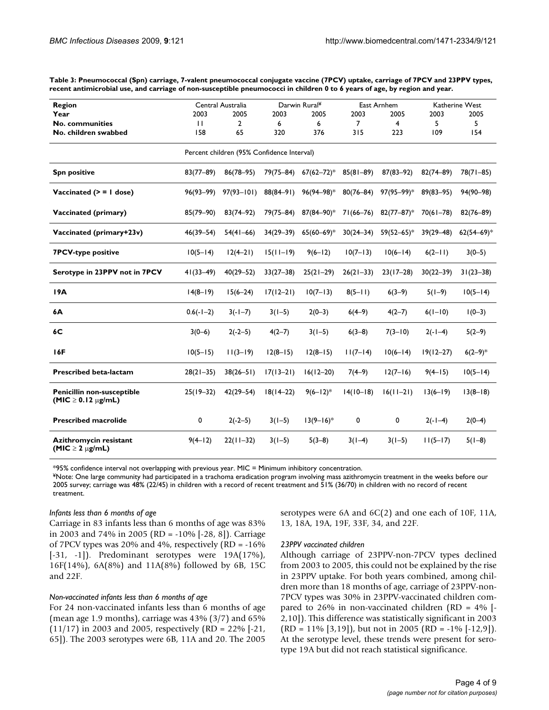**Table 3: Pneumococcal (Spn) carriage, 7-valent pneumococcal conjugate vaccine (7PCV) uptake, carriage of 7PCV and 23PPV types, recent antimicrobial use, and carriage of non-susceptible pneumococci in children 0 to 6 years of age, by region and year.**

| Region                                                   |                                            | Central Australia |               | Darwin Rural <sup>¥</sup> |                | East Arnhem    |               | Katherine West |  |  |
|----------------------------------------------------------|--------------------------------------------|-------------------|---------------|---------------------------|----------------|----------------|---------------|----------------|--|--|
| Year                                                     | 2003                                       | 2005              | 2003          | 2005                      | 2003           | 2005           | 2003          | 2005           |  |  |
| No. communities                                          | $\mathbf{H}$                               | $\overline{2}$    | 6             | 6                         | $\overline{7}$ | $\overline{4}$ | 5.            | 5              |  |  |
| No. children swabbed                                     | 158                                        | 65                | 320           | 376                       | 315            | 223            | 109           | 154            |  |  |
|                                                          | Percent children (95% Confidence Interval) |                   |               |                           |                |                |               |                |  |  |
| <b>Spn positive</b>                                      | $83(77 - 89)$                              | $86(78 - 95)$     |               | 79(75-84) 67(62-72)*      | $85(81 - 89)$  | $87(83 - 92)$  | $82(74 - 89)$ | $78(71 - 85)$  |  |  |
| Vaccinated $(>= 1$ dose)                                 | $96(93 - 99)$                              | $97(93 - 101)$    | 88(84–91)     | $96(94 - 98)*$            | $80(76 - 84)$  | $97(95 - 99)*$ | $89(83 - 95)$ | $94(90 - 98)$  |  |  |
| Vaccinated (primary)                                     | $85(79 - 90)$                              | $83(74 - 92)$     | 79(75-84)     | $87(84 - 90)*$            | 71(66–76)      | $82(77-87)^*$  | $70(61 - 78)$ | $82(76 - 89)$  |  |  |
| Vaccinated (primary+23v)                                 | $46(39 - 54)$                              | $54(41-66)$       | $34(29 - 39)$ | $65(60 - 69)*$            | $30(24 - 34)$  | $59(52 - 65)*$ | $39(29 - 48)$ | $62(54 - 69)*$ |  |  |
| <b>7PCV-type positive</b>                                | $10(5 - 14)$                               | $12(4-21)$        | $15(11-19)$   | $9(6-12)$                 | $10(7-13)$     | $10(6 - 14)$   | $6(2-11)$     | $3(0-5)$       |  |  |
| Serotype in 23PPV not in 7PCV                            | $41(33 - 49)$                              | $40(29 - 52)$     | $33(27 - 38)$ | $25(21-29)$               | $26(21-33)$    | $23(17-28)$    | $30(22 - 39)$ | $31(23 - 38)$  |  |  |
| 19A                                                      | $14(8-19)$                                 | $15(6 - 24)$      | $17(12-21)$   | $10(7-13)$                | $8(5-1)$       | $6(3-9)$       | $5(1-9)$      | $10(5-14)$     |  |  |
| 6A                                                       | $0.6(-1-2)$                                | $3(-1-7)$         | $3(1-5)$      | $2(0-3)$                  | $6(4-9)$       | $4(2-7)$       | $6(1-10)$     | $1(0-3)$       |  |  |
| 6C                                                       | $3(0-6)$                                   | $2(-2-5)$         | $4(2-7)$      | $3(1-5)$                  | $6(3-8)$       | $7(3-10)$      | $2(-1-4)$     | $5(2-9)$       |  |  |
| 16F                                                      | $10(5 - 15)$                               | $11(3-19)$        | $12(8-15)$    | $12(8-15)$                | $11(7-14)$     | $10(6 - 14)$   | $19(12 - 27)$ | $6(2-9)*$      |  |  |
| <b>Prescribed beta-lactam</b>                            | $28(21-35)$                                | $38(26 - 51)$     | $17(13-21)$   | $16(12-20)$               | $7(4-9)$       | $12(7-16)$     | $9(4-15)$     | $10(5 - 14)$   |  |  |
| Penicillin non-susceptible<br>$(MIC \geq 0.12 \mu g/mL)$ | $25(19 - 32)$                              | $42(29 - 54)$     | $18(14-22)$   | $9(6-12)*$                | $14(10-18)$    | $16(11-21)$    | $13(6-19)$    | $13(8-18)$     |  |  |
| <b>Prescribed macrolide</b>                              | 0                                          | $2(-2-5)$         | $3(1-5)$      | $13(9-16)$ *              | 0              | 0              | $2(-1-4)$     | $2(0-4)$       |  |  |
| Azithromycin resistant<br>(MIC $\geq$ 2 $\mu$ g/mL)      | $9(4-12)$                                  | $22(11-32)$       | $3(1-5)$      | $5(3-8)$                  | $3(1-4)$       | $3(1-5)$       | $11(5-17)$    | $5(1-8)$       |  |  |

\*95% confidence interval not overlapping with previous year. MIC = Minimum inhibitory concentration.

¥Note: One large community had participated in a trachoma eradication program involving mass azithromycin treatment in the weeks before our 2005 survey; carriage was 48% (22/45) in children with a record of recent treatment and 51% (36/70) in children with no record of recent treatment.

#### *Infants less than 6 months of age*

Carriage in 83 infants less than 6 months of age was 83% in 2003 and 74% in 2005 (RD = -10% [-28, 8]). Carriage of 7PCV types was 20% and 4%, respectively (RD = -16%  $[-31, -1]$ ). Predominant serotypes were  $19A(17%)$ , 16F(14%), 6A(8%) and 11A(8%) followed by 6B, 15C and 22F.

#### *Non-vaccinated infants less than 6 months of age*

For 24 non-vaccinated infants less than 6 months of age (mean age 1.9 months), carriage was 43% (3/7) and 65% (11/17) in 2003 and 2005, respectively (RD = 22% [-21, 65]). The 2003 serotypes were 6B, 11A and 20. The 2005

serotypes were 6A and 6C(2) and one each of 10F, 11A, 13, 18A, 19A, 19F, 33F, 34, and 22F.

#### *23PPV vaccinated children*

Although carriage of 23PPV-non-7PCV types declined from 2003 to 2005, this could not be explained by the rise in 23PPV uptake. For both years combined, among children more than 18 months of age, carriage of 23PPV-non-7PCV types was 30% in 23PPV-vaccinated children compared to 26% in non-vaccinated children (RD =  $4\%$  [-2,10]). This difference was statistically significant in 2003  $(RD = 11\% [3,19])$ , but not in 2005  $(RD = -1\% [-12,9])$ . At the serotype level, these trends were present for serotype 19A but did not reach statistical significance.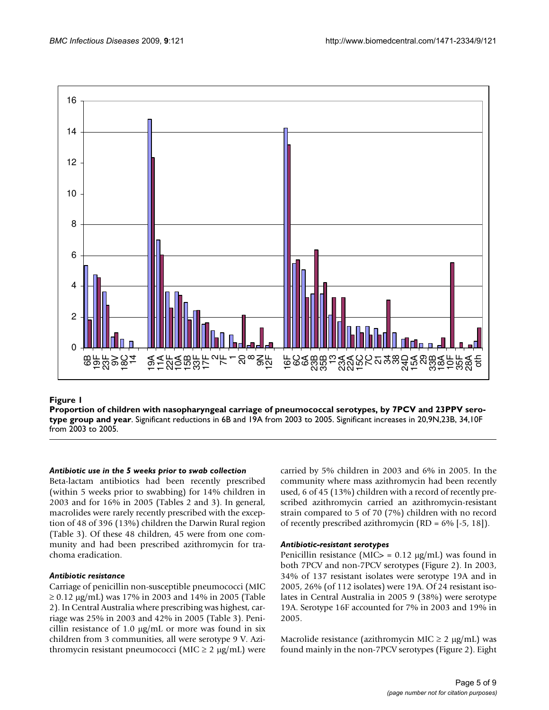

# Proportion of children with nasopharyngeal carriage of pne **Figure 1** umococcal serotypes, by 7PCV and 23PPV serotype group and year

**Proportion of children with nasopharyngeal carriage of pneumococcal serotypes, by 7PCV and 23PPV serotype group and year**. Significant reductions in 6B and 19A from 2003 to 2005. Significant increases in 20,9N,23B, 34,10F from 2003 to 2005.

#### *Antibiotic use in the 5 weeks prior to swab collection*

Beta-lactam antibiotics had been recently prescribed (within 5 weeks prior to swabbing) for 14% children in 2003 and for 16% in 2005 (Tables 2 and 3). In general, macrolides were rarely recently prescribed with the exception of 48 of 396 (13%) children the Darwin Rural region (Table 3). Of these 48 children, 45 were from one community and had been prescribed azithromycin for trachoma eradication.

# *Antibiotic resistance*

Carriage of penicillin non-susceptible pneumococci (MIC ≥ 0.12 μg/mL) was 17% in 2003 and 14% in 2005 (Table 2). In Central Australia where prescribing was highest, carriage was 25% in 2003 and 42% in 2005 (Table 3). Penicillin resistance of 1.0  $\mu$ g/mL or more was found in six children from 3 communities, all were serotype 9 V. Azithromycin resistant pneumococci (MIC  $\geq$  2 μg/mL) were carried by 5% children in 2003 and 6% in 2005. In the community where mass azithromycin had been recently used, 6 of 45 (13%) children with a record of recently prescribed azithromycin carried an azithromycin-resistant strain compared to 5 of 70 (7%) children with no record of recently prescribed azithromycin (RD =  $6\%$  [-5, 18]).

#### *Antibiotic-resistant serotypes*

Penicillin resistance (MIC $>$  = 0.12  $\mu$ g/mL) was found in both 7PCV and non-7PCV serotypes (Figure 2). In 2003, 34% of 137 resistant isolates were serotype 19A and in 2005, 26% (of 112 isolates) were 19A. Of 24 resistant isolates in Central Australia in 2005 9 (38%) were serotype 19A. Serotype 16F accounted for 7% in 2003 and 19% in 2005.

Macrolide resistance (azithromycin MIC  $\geq 2 \mu g/mL$ ) was found mainly in the non-7PCV serotypes (Figure 2). Eight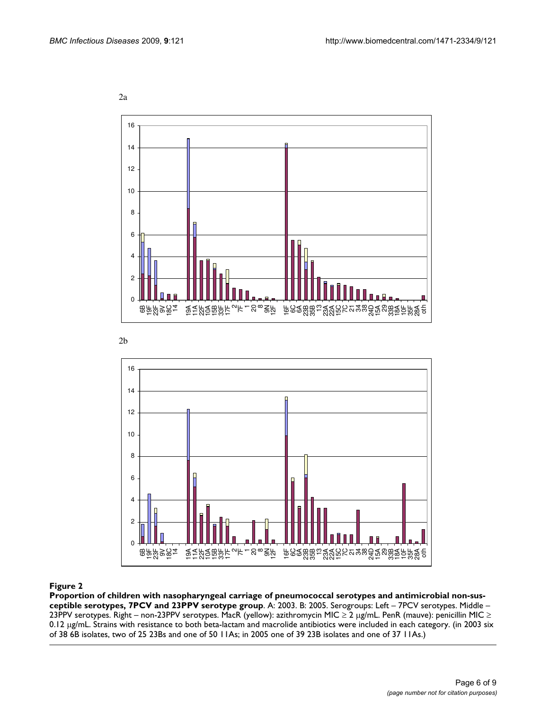2a



2b



#### Proportion of children with nasopharyngeal carriage of pneum 7PCV and 23PPV serotype group **Figure 2** ococcal serotypes and antimicrobial non-susceptible serotypes,

**Proportion of children with nasopharyngeal carriage of pneumococcal serotypes and antimicrobial non-susceptible serotypes, 7PCV and 23PPV serotype group**. A: 2003. B: 2005. Serogroups: Left – 7PCV serotypes. Middle – 23PPV serotypes. Right – non-23PPV serotypes. MacR (yellow): azithromycin MIC ≥ 2 μg/mL. PenR (mauve): penicillin MIC ≥ 0.12 μg/mL. Strains with resistance to both beta-lactam and macrolide antibiotics were included in each category. (in 2003 six of 38 6B isolates, two of 25 23Bs and one of 50 11As; in 2005 one of 39 23B isolates and one of 37 11As.)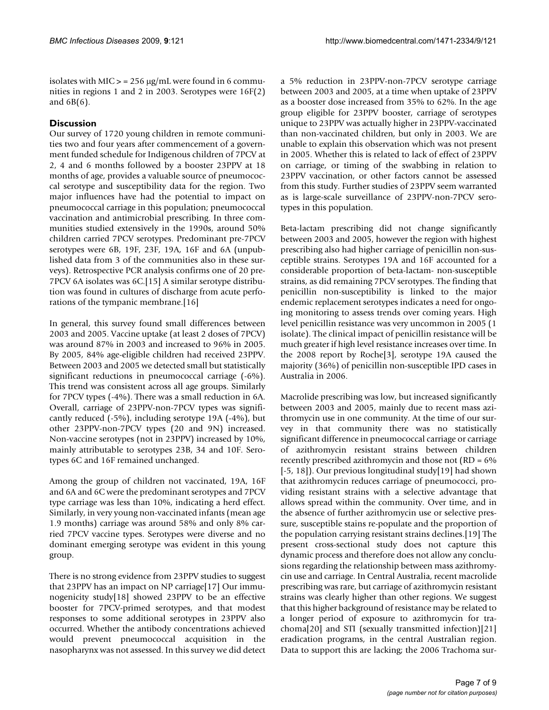isolates with MIC  $>$  = 256 µg/mL were found in 6 communities in regions 1 and 2 in 2003. Serotypes were 16F(2) and 6B(6).

# **Discussion**

Our survey of 1720 young children in remote communities two and four years after commencement of a government funded schedule for Indigenous children of 7PCV at 2, 4 and 6 months followed by a booster 23PPV at 18 months of age, provides a valuable source of pneumococcal serotype and susceptibility data for the region. Two major influences have had the potential to impact on pneumococcal carriage in this population; pneumococcal vaccination and antimicrobial prescribing. In three communities studied extensively in the 1990s, around 50% children carried 7PCV serotypes. Predominant pre-7PCV serotypes were 6B, 19F, 23F, 19A, 16F and 6A (unpublished data from 3 of the communities also in these surveys). Retrospective PCR analysis confirms one of 20 pre-7PCV 6A isolates was 6C.[15] A similar serotype distribution was found in cultures of discharge from acute perforations of the tympanic membrane.[16]

In general, this survey found small differences between 2003 and 2005. Vaccine uptake (at least 2 doses of 7PCV) was around 87% in 2003 and increased to 96% in 2005. By 2005, 84% age-eligible children had received 23PPV. Between 2003 and 2005 we detected small but statistically significant reductions in pneumococcal carriage (-6%). This trend was consistent across all age groups. Similarly for 7PCV types (-4%). There was a small reduction in 6A. Overall, carriage of 23PPV-non-7PCV types was significantly reduced (-5%), including serotype 19A (-4%), but other 23PPV-non-7PCV types (20 and 9N) increased. Non-vaccine serotypes (not in 23PPV) increased by 10%, mainly attributable to serotypes 23B, 34 and 10F. Serotypes 6C and 16F remained unchanged.

Among the group of children not vaccinated, 19A, 16F and 6A and 6C were the predominant serotypes and 7PCV type carriage was less than 10%, indicating a herd effect. Similarly, in very young non-vaccinated infants (mean age 1.9 months) carriage was around 58% and only 8% carried 7PCV vaccine types. Serotypes were diverse and no dominant emerging serotype was evident in this young group.

There is no strong evidence from 23PPV studies to suggest that 23PPV has an impact on NP carriage[17] Our immunogenicity study[18] showed 23PPV to be an effective booster for 7PCV-primed serotypes, and that modest responses to some additional serotypes in 23PPV also occurred. Whether the antibody concentrations achieved would prevent pneumococcal acquisition in the nasopharynx was not assessed. In this survey we did detect

a 5% reduction in 23PPV-non-7PCV serotype carriage between 2003 and 2005, at a time when uptake of 23PPV as a booster dose increased from 35% to 62%. In the age group eligible for 23PPV booster, carriage of serotypes unique to 23PPV was actually higher in 23PPV-vaccinated than non-vaccinated children, but only in 2003. We are unable to explain this observation which was not present in 2005. Whether this is related to lack of effect of 23PPV on carriage, or timing of the swabbing in relation to 23PPV vaccination, or other factors cannot be assessed from this study. Further studies of 23PPV seem warranted as is large-scale surveillance of 23PPV-non-7PCV serotypes in this population.

Beta-lactam prescribing did not change significantly between 2003 and 2005, however the region with highest prescribing also had higher carriage of penicillin non-susceptible strains. Serotypes 19A and 16F accounted for a considerable proportion of beta-lactam- non-susceptible strains, as did remaining 7PCV serotypes. The finding that penicillin non-susceptibility is linked to the major endemic replacement serotypes indicates a need for ongoing monitoring to assess trends over coming years. High level penicillin resistance was very uncommon in 2005 (1 isolate). The clinical impact of penicillin resistance will be much greater if high level resistance increases over time. In the 2008 report by Roche[3], serotype 19A caused the majority (36%) of penicillin non-susceptible IPD cases in Australia in 2006.

Macrolide prescribing was low, but increased significantly between 2003 and 2005, mainly due to recent mass azithromycin use in one community. At the time of our survey in that community there was no statistically significant difference in pneumococcal carriage or carriage of azithromycin resistant strains between children recently prescribed azithromycin and those not (RD = 6% [-5, 18]). Our previous longitudinal study[19] had shown that azithromycin reduces carriage of pneumococci, providing resistant strains with a selective advantage that allows spread within the community. Over time, and in the absence of further azithromycin use or selective pressure, susceptible stains re-populate and the proportion of the population carrying resistant strains declines.[19] The present cross-sectional study does not capture this dynamic process and therefore does not allow any conclusions regarding the relationship between mass azithromycin use and carriage. In Central Australia, recent macrolide prescribing was rare, but carriage of azithromycin resistant strains was clearly higher than other regions. We suggest that this higher background of resistance may be related to a longer period of exposure to azithromycin for trachoma[20] and STI (sexually transmitted infection)[21] eradication programs, in the central Australian region. Data to support this are lacking; the 2006 Trachoma sur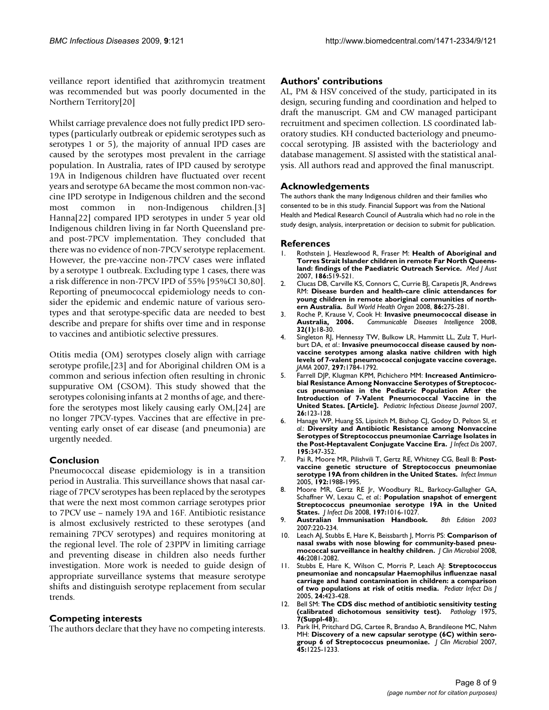veillance report identified that azithromycin treatment was recommended but was poorly documented in the Northern Territory[20]

Whilst carriage prevalence does not fully predict IPD serotypes (particularly outbreak or epidemic serotypes such as serotypes 1 or 5), the majority of annual IPD cases are caused by the serotypes most prevalent in the carriage population. In Australia, rates of IPD caused by serotype 19A in Indigenous children have fluctuated over recent years and serotype 6A became the most common non-vaccine IPD serotype in Indigenous children and the second most common in non-Indigenous children.[3] Hanna[22] compared IPD serotypes in under 5 year old Indigenous children living in far North Queensland preand post-7PCV implementation. They concluded that there was no evidence of non-7PCV serotype replacement. However, the pre-vaccine non-7PCV cases were inflated by a serotype 1 outbreak. Excluding type 1 cases, there was a risk difference in non-7PCV IPD of 55% [95%CI 30,80]. Reporting of pneumococcal epidemiology needs to consider the epidemic and endemic nature of various serotypes and that serotype-specific data are needed to best describe and prepare for shifts over time and in response to vaccines and antibiotic selective pressures.

Otitis media (OM) serotypes closely align with carriage serotype profile,[23] and for Aboriginal children OM is a common and serious infection often resulting in chronic suppurative OM (CSOM). This study showed that the serotypes colonising infants at 2 months of age, and therefore the serotypes most likely causing early OM,[24] are no longer 7PCV-types. Vaccines that are effective in preventing early onset of ear disease (and pneumonia) are urgently needed.

# **Conclusion**

Pneumococcal disease epidemiology is in a transition period in Australia. This surveillance shows that nasal carriage of 7PCV serotypes has been replaced by the serotypes that were the next most common carriage serotypes prior to 7PCV use – namely 19A and 16F. Antibiotic resistance is almost exclusively restricted to these serotypes (and remaining 7PCV serotypes) and requires monitoring at the regional level. The role of 23PPV in limiting carriage and preventing disease in children also needs further investigation. More work is needed to guide design of appropriate surveillance systems that measure serotype shifts and distinguish serotype replacement from secular trends.

# **Competing interests**

The authors declare that they have no competing interests.

## **Authors' contributions**

AL, PM & HSV conceived of the study, participated in its design, securing funding and coordination and helped to draft the manuscript. GM and CW managed participant recruitment and specimen collection. LS coordinated laboratory studies. KH conducted bacteriology and pneumococcal serotyping. JB assisted with the bacteriology and database management. SJ assisted with the statistical analysis. All authors read and approved the final manuscript.

# **Acknowledgements**

The authors thank the many Indigenous children and their families who consented to be in this study. Financial Support was from the National Health and Medical Research Council of Australia which had no role in the study design, analysis, interpretation or decision to submit for publication.

#### **References**

- 1. Rothstein J, Heazlewood R, Fraser M: **[Health of Aboriginal and](http://www.ncbi.nlm.nih.gov/entrez/query.fcgi?cmd=Retrieve&db=PubMed&dopt=Abstract&list_uids=17516899) [Torres Strait Islander children in remote Far North Queens](http://www.ncbi.nlm.nih.gov/entrez/query.fcgi?cmd=Retrieve&db=PubMed&dopt=Abstract&list_uids=17516899)[land: findings of the Paediatric Outreach Service.](http://www.ncbi.nlm.nih.gov/entrez/query.fcgi?cmd=Retrieve&db=PubMed&dopt=Abstract&list_uids=17516899)** *Med J Aust* 2007, **186:**519-521.
- 2. Clucas DB, Carville KS, Connors C, Currie BJ, Carapetis JR, Andrews RM: **[Disease burden and health-care clinic attendances for](http://www.ncbi.nlm.nih.gov/entrez/query.fcgi?cmd=Retrieve&db=PubMed&dopt=Abstract&list_uids=18438516) [young children in remote aboriginal communities of north](http://www.ncbi.nlm.nih.gov/entrez/query.fcgi?cmd=Retrieve&db=PubMed&dopt=Abstract&list_uids=18438516)[ern Australia.](http://www.ncbi.nlm.nih.gov/entrez/query.fcgi?cmd=Retrieve&db=PubMed&dopt=Abstract&list_uids=18438516)** *Bull World Health Organ* 2008, **86:**275-281.
- 3. Roche P, Krause V, Cook H: **[Invasive pneumococcal disease in](http://www.ncbi.nlm.nih.gov/entrez/query.fcgi?cmd=Retrieve&db=PubMed&dopt=Abstract&list_uids=18522302) [Australia, 2006.](http://www.ncbi.nlm.nih.gov/entrez/query.fcgi?cmd=Retrieve&db=PubMed&dopt=Abstract&list_uids=18522302)** *Communicable Diseases Intelligence* 2008, **32(1):**18-30.
- 4. Singleton RJ, Hennessy TW, Bulkow LR, Hammitt LL, Zulz T, Hurlburt DA, *et al.*: **[Invasive pneumococcal disease caused by non](http://www.ncbi.nlm.nih.gov/entrez/query.fcgi?cmd=Retrieve&db=PubMed&dopt=Abstract&list_uids=17456820)[vaccine serotypes among alaska native children with high](http://www.ncbi.nlm.nih.gov/entrez/query.fcgi?cmd=Retrieve&db=PubMed&dopt=Abstract&list_uids=17456820) levels of 7-valent pneumococcal conjugate vaccine coverage.** *JAMA* 2007, **297:**1784-1792.
- 5. Farrell DJP, Klugman KPM, Pichichero MM: **[Increased Antimicro](http://www.ncbi.nlm.nih.gov/entrez/query.fcgi?cmd=Retrieve&db=PubMed&dopt=Abstract&list_uids=17259873)bial Resistance Among Nonvaccine Serotypes of Streptococ[cus pneumoniae in the Pediatric Population After the](http://www.ncbi.nlm.nih.gov/entrez/query.fcgi?cmd=Retrieve&db=PubMed&dopt=Abstract&list_uids=17259873) Introduction of 7-Valent Pneumococcal Vaccine in the [United States. \[Article\].](http://www.ncbi.nlm.nih.gov/entrez/query.fcgi?cmd=Retrieve&db=PubMed&dopt=Abstract&list_uids=17259873)** *Pediatric Infectious Disease Journal* 2007, **26:**123-128.
- 6. Hanage WP, Huang SS, Lipsitch M, Bishop CJ, Godoy D, Pelton SI, *et al.*: **[Diversity and Antibiotic Resistance among Nonvaccine](http://www.ncbi.nlm.nih.gov/entrez/query.fcgi?cmd=Retrieve&db=PubMed&dopt=Abstract&list_uids=17205472) [Serotypes of Streptococcus pneumoniae Carriage Isolates in](http://www.ncbi.nlm.nih.gov/entrez/query.fcgi?cmd=Retrieve&db=PubMed&dopt=Abstract&list_uids=17205472) [the Post-Heptavalent Conjugate Vaccine Era.](http://www.ncbi.nlm.nih.gov/entrez/query.fcgi?cmd=Retrieve&db=PubMed&dopt=Abstract&list_uids=17205472)** *J Infect Dis* 2007, **195:**347-352.
- 7. Pai R, Moore MR, Pilishvili T, Gertz RE, Whitney CG, Beall B: **Postvaccine genetic structure of Streptococcus pneumoniae serotype 19A from children in the United States.** *Infect Immun* 2005, **192:**1988-1995.
- 8. Moore MR, Gertz RE Jr, Woodbury RL, Barkocy-Gallagher GA, Schaffner W, Lexau C, *et al.*: **[Population snapshot of emergent](http://www.ncbi.nlm.nih.gov/entrez/query.fcgi?cmd=Retrieve&db=PubMed&dopt=Abstract&list_uids=18419539) [Streptococcus pneumoniae serotype 19A in the United](http://www.ncbi.nlm.nih.gov/entrez/query.fcgi?cmd=Retrieve&db=PubMed&dopt=Abstract&list_uids=18419539) [States.](http://www.ncbi.nlm.nih.gov/entrez/query.fcgi?cmd=Retrieve&db=PubMed&dopt=Abstract&list_uids=18419539)** *J Infect Dis* 2008, **197:**1016-1027.
- 9. **Australian Immunisation Handbook.** *8th Edition 2003* 2007:220-234.
- 10. Leach AJ, Stubbs E, Hare K, Beissbarth J, Morris PS: **[Comparison of](http://www.ncbi.nlm.nih.gov/entrez/query.fcgi?cmd=Retrieve&db=PubMed&dopt=Abstract&list_uids=18385438) [nasal swabs with nose blowing for community-based pneu](http://www.ncbi.nlm.nih.gov/entrez/query.fcgi?cmd=Retrieve&db=PubMed&dopt=Abstract&list_uids=18385438)[mococcal surveillance in healthy children.](http://www.ncbi.nlm.nih.gov/entrez/query.fcgi?cmd=Retrieve&db=PubMed&dopt=Abstract&list_uids=18385438)** *J Clin Microbiol* 2008, **46:**2081-2082.
- 11. Stubbs E, Hare K, Wilson C, Morris P, Leach AJ: **[Streptococcus](http://www.ncbi.nlm.nih.gov/entrez/query.fcgi?cmd=Retrieve&db=PubMed&dopt=Abstract&list_uids=15876941) [pneumoniae and noncapsular Haemophilus influenzae nasal](http://www.ncbi.nlm.nih.gov/entrez/query.fcgi?cmd=Retrieve&db=PubMed&dopt=Abstract&list_uids=15876941) carriage and hand contamination in children: a comparison [of two populations at risk of otitis media.](http://www.ncbi.nlm.nih.gov/entrez/query.fcgi?cmd=Retrieve&db=PubMed&dopt=Abstract&list_uids=15876941)** *Pediatr Infect Dis J* 2005, **24:**423-428.
- 12. Bell SM: **[The CDS disc method of antibiotic sensitivity testing](http://www.ncbi.nlm.nih.gov/entrez/query.fcgi?cmd=Retrieve&db=PubMed&dopt=Abstract&list_uids=772573) [\(calibrated dichotomous sensitivity test\).](http://www.ncbi.nlm.nih.gov/entrez/query.fcgi?cmd=Retrieve&db=PubMed&dopt=Abstract&list_uids=772573)** *Pathology* 1975, **7(Suppl-48):**.
- 13. Park IH, Pritchard DG, Cartee R, Brandao A, Brandileone MC, Nahm MH: **[Discovery of a new capsular serotype \(6C\) within sero](http://www.ncbi.nlm.nih.gov/entrez/query.fcgi?cmd=Retrieve&db=PubMed&dopt=Abstract&list_uids=17267625)[group 6 of Streptococcus pneumoniae.](http://www.ncbi.nlm.nih.gov/entrez/query.fcgi?cmd=Retrieve&db=PubMed&dopt=Abstract&list_uids=17267625)** *J Clin Microbiol* 2007, **45:**1225-1233.